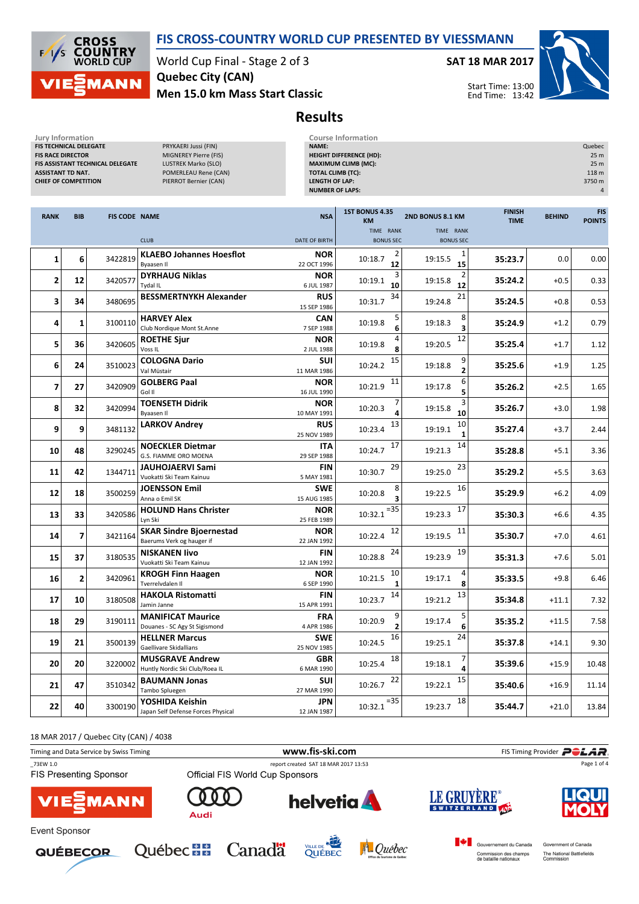

**CROSS<br>COUNTRY**<br>WORLD CUP  $\sqrt{2}$ **MANN** 

World Cup Final - Stage 2 of 3 Men 15.0 km Mass Start Classic Quebec City (CAN)

SAT 18 MAR 2017



Start Time: 13:00 End Time: 13:42

# Results

| Jury Information<br><b>FIS TECHNICAL DELEGATE</b><br><b>FIS RACE DIRECTOR</b><br><b>ASSISTANT TD NAT.</b><br><b>CHIEF OF COMPETITION</b> |                | FIS ASSISTANT TECHNICAL DELEGATE | PRYKAERI Jussi (FIN)<br>MIGNEREY Pierre (FIS)<br>LUSTREK Marko (SLO)<br>POMERLEAU Rene (CAN)<br>PIERROT Bernier (CAN) | <b>NAME:</b><br><b>TOTAL CLIMB (TC):</b><br><b>LENGTH OF LAP:</b><br><b>NUMBER OF LAPS:</b> | <b>Course Information</b><br><b>HEIGHT DIFFERENCE (HD):</b><br><b>MAXIMUM CLIMB (MC):</b> |                                         |                              |               | Quebec<br>25 m<br>25 m<br>118 m<br>3750 m<br>$\overline{4}$ |
|------------------------------------------------------------------------------------------------------------------------------------------|----------------|----------------------------------|-----------------------------------------------------------------------------------------------------------------------|---------------------------------------------------------------------------------------------|-------------------------------------------------------------------------------------------|-----------------------------------------|------------------------------|---------------|-------------------------------------------------------------|
| <b>RANK</b>                                                                                                                              | <b>BIB</b>     | <b>FIS CODE NAME</b>             |                                                                                                                       | <b>NSA</b>                                                                                  | 1ST BONUS 4.35<br><b>KM</b>                                                               | 2ND BONUS 8.1 KM                        | <b>FINISH</b><br><b>TIME</b> | <b>BEHIND</b> | <b>FIS</b><br><b>POINTS</b>                                 |
|                                                                                                                                          |                |                                  | <b>CLUB</b>                                                                                                           | <b>DATE OF BIRTH</b>                                                                        | TIME RANK<br><b>BONUS SEC</b>                                                             | TIME RANK<br><b>BONUS SEC</b>           |                              |               |                                                             |
| $\mathbf{1}$                                                                                                                             | 6              | 3422819                          | <b>KLAEBO Johannes Hoesflot</b><br>Byaasen II                                                                         | <b>NOR</b><br>22 OCT 1996                                                                   | 2<br>10:18.7<br>12                                                                        | 1<br>19:15.5<br>15                      | 35:23.7                      | 0.0           | 0.00                                                        |
| $\overline{2}$                                                                                                                           | 12             | 3420577                          | <b>DYRHAUG Niklas</b><br>Tydal IL                                                                                     | <b>NOR</b><br>6 JUL 1987                                                                    | 3<br>10:19.1<br>10                                                                        | $\overline{2}$<br>19:15.8<br>12         | 35:24.2                      | $+0.5$        | 0.33                                                        |
| 3                                                                                                                                        | 34             | 3480695                          | <b>BESSMERTNYKH Alexander</b>                                                                                         | <b>RUS</b>                                                                                  | 34<br>10:31.7                                                                             | 21<br>19:24.8                           | 35:24.5                      | $+0.8$        | 0.53                                                        |
| 4                                                                                                                                        | $\mathbf{1}$   | 3100110                          | <b>HARVEY Alex</b><br>Club Nordique Mont St.Anne                                                                      | 15 SEP 1986<br><b>CAN</b><br>7 SEP 1988                                                     | 5<br>10:19.8<br>6                                                                         | 8<br>19:18.3<br>3                       | 35:24.9                      | $+1.2$        | 0.79                                                        |
| 5                                                                                                                                        | 36             | 3420605                          | <b>ROETHE Sjur</b><br>Voss <sub>IL</sub>                                                                              | <b>NOR</b><br>2 JUL 1988                                                                    | 4<br>10:19.8<br>8                                                                         | 12<br>19:20.5                           | 35:25.4                      | $+1.7$        | 1.12                                                        |
| 6                                                                                                                                        | 24             | 3510023                          | <b>COLOGNA Dario</b><br>Val Müstair                                                                                   | SUI<br>11 MAR 1986                                                                          | 15<br>10:24.2                                                                             | 9<br>19:18.8<br>$\overline{\mathbf{2}}$ | 35:25.6                      | $+1.9$        | 1.25                                                        |
| $\overline{\mathbf{z}}$                                                                                                                  | 27             | 3420909                          | <b>GOLBERG Paal</b><br>Gol II                                                                                         | <b>NOR</b><br>16 JUL 1990                                                                   | 11<br>10:21.9                                                                             | 6<br>19:17.8<br>5                       | 35:26.2                      | $+2.5$        | 1.65                                                        |
| 8                                                                                                                                        | 32             | 3420994                          | <b>TOENSETH Didrik</b><br>Byaasen II                                                                                  | <b>NOR</b><br>10 MAY 1991                                                                   | 7<br>10:20.3<br>4                                                                         | 3<br>19:15.8<br>10                      | 35:26.7                      | $+3.0$        | 1.98                                                        |
| 9                                                                                                                                        | 9              | 3481132                          | <b>LARKOV Andrey</b>                                                                                                  | <b>RUS</b><br>25 NOV 1989                                                                   | 13<br>10:23.4                                                                             | 10<br>19:19.1<br>$\mathbf{1}$           | 35:27.4                      | $+3.7$        | 2.44                                                        |
| 10                                                                                                                                       | 48             | 3290245                          | <b>NOECKLER Dietmar</b><br>G.S. FIAMME ORO MOENA                                                                      | <b>ITA</b><br>29 SEP 1988                                                                   | 17<br>10:24.7                                                                             | 14<br>19:21.3                           | 35:28.8                      | $+5.1$        | 3.36                                                        |
| 11                                                                                                                                       | 42             | 1344711                          | <b>JAUHOJAERVI Sami</b><br>Vuokatti Ski Team Kainuu                                                                   | <b>FIN</b><br>5 MAY 1981                                                                    | 29<br>10:30.7                                                                             | 23<br>19:25.0                           | 35:29.2                      | $+5.5$        | 3.63                                                        |
| 12                                                                                                                                       | 18             | 3500259                          | <b>JOENSSON Emil</b><br>Anna o Emil SK                                                                                | <b>SWE</b><br>15 AUG 1985                                                                   | 10:20.8<br>3                                                                              | 16<br>19:22.5                           | 35:29.9                      | $+6.2$        | 4.09                                                        |
| 13                                                                                                                                       | 33             | 3420586                          | <b>HOLUND Hans Christer</b><br>Lyn Ski                                                                                | <b>NOR</b><br>25 FEB 1989                                                                   | $= 35$<br>10:32.1                                                                         | 17<br>19:23.3                           | 35:30.3                      | $+6.6$        | 4.35                                                        |
| 14                                                                                                                                       | $\overline{7}$ | 3421164                          | <b>SKAR Sindre Bjoernestad</b><br>Baerums Verk og hauger if                                                           | <b>NOR</b><br>22 JAN 1992                                                                   | 12<br>10:22.4                                                                             | 11<br>19:19.5                           | 35:30.7                      | $+7.0$        | 4.61                                                        |
| 15                                                                                                                                       | 37             | 3180535                          | <b>NISKANEN livo</b><br>Vuokatti Ski Team Kainuu                                                                      | <b>FIN</b><br>12 JAN 1992                                                                   | 24<br>10:28.8                                                                             | 19<br>19:23.9                           | 35:31.3                      | $+7.6$        | 5.01                                                        |
| 16                                                                                                                                       | $\overline{2}$ | 3420961                          | <b>KROGH Finn Haagen</b><br>Tverrelydalen II                                                                          | <b>NOR</b><br>6 SEP 1990                                                                    | 10<br>10:21.5<br>1                                                                        | 4<br>19:17.1<br>8                       | 35:33.5                      | $+9.8$        | 6.46                                                        |
| 17                                                                                                                                       | 10             | 3180508                          | <b>HAKOLA Ristomatti</b><br>Jamin Janne                                                                               | <b>FIN</b><br>15 APR 1991                                                                   | $14\,$<br>10:23.7                                                                         | 13<br>19:21.2                           | 35:34.8                      | $+11.1$       | 7.32                                                        |
| 18                                                                                                                                       | 29             | 3190111                          | <b>MANIFICAT Maurice</b><br>Douanes - SC Agy St Sigismond                                                             | <b>FRA</b><br>4 APR 1986                                                                    | 9<br>10:20.9<br>$\overline{2}$                                                            | 5<br>19:17.4<br>6                       | 35:35.2                      | $+11.5$       | 7.58                                                        |
| 19                                                                                                                                       | 21             | 3500139                          | <b>HELLNER Marcus</b><br>Gaellivare Skidallians                                                                       | <b>SWE</b><br>25 NOV 1985                                                                   | 16<br>10:24.5                                                                             | 24<br>19:25.1                           | 35:37.8                      | $+14.1$       | 9.30                                                        |
| 20                                                                                                                                       | 20             | 3220002                          | <b>MUSGRAVE Andrew</b><br>Huntly Nordic Ski Club/Roea IL                                                              | <b>GBR</b><br>6 MAR 1990                                                                    | 18<br>10:25.4                                                                             | 7<br>19:18.1<br>4                       | 35:39.6                      | $+15.9$       | 10.48                                                       |

18 MAR 2017 / Quebec City (CAN) / 4038

**21** 47 3510342  $\begin{array}{|c|c|c|}\n\hline\n\text{3510342} & \text{3510342} \\
\hline\n\text{7ambo Spluegen}\n\hline\n\end{array}$ 

 $\begin{array}{|c|c|c|}\n\hline\n\textbf{22} & \textbf{40} & \textbf{3300190} & \textbf{YOSHIDA} & \textbf{Keishin} \\
\hline\n\end{array}$ 

BAUMANN Jonas

| Timing and Data Service by Swiss Timing   | FIS Timing Provider <b>POLAR</b><br>www.fis-ski.com |                                       |                                                 |                                                   |  |
|-------------------------------------------|-----------------------------------------------------|---------------------------------------|-------------------------------------------------|---------------------------------------------------|--|
| 73EW 1.0<br><b>FIS Presenting Sponsor</b> | Official FIS World Cup Sponsors                     | report created SAT 18 MAR 2017 13:53  |                                                 | Page 1 of 4                                       |  |
| <b>VIE</b> MANN                           | Audi                                                | <b>helvetia</b>                       | LE GRUYÈRE®                                     | <b>HQUE</b><br><b>MOLY</b>                        |  |
| Event Sponsor<br><b>QUÉBECOR</b>          | <b>Québec <del>MH</del></b><br>Canada               | VILLE DE<br>A Québec<br><b>QUÉBEC</b> | Gouvernement du Canada<br>Commission des champs | Government of Canada<br>The National Battlefields |  |

SUI <sup>3510342</sup> 10:26.7 <sup>22</sup> 19:22.1 <sup>15</sup> 35:40.6 +16.9 11.14

 $10:32.1$ <sup>=35</sup>

27 MAR 1990

12 JAN 1987





YOSHIDA Keishin JPN <sup>3300190</sup> 10:32.1



 $\begin{array}{|c|c|c|c|c|}\n \hline\n 18 & 35:44.7 & +21.0 & 13.84\n \end{array}$ 

Commission des champs<br>de bataille nationaux

The National Battlefields<br>Commission

19:23.7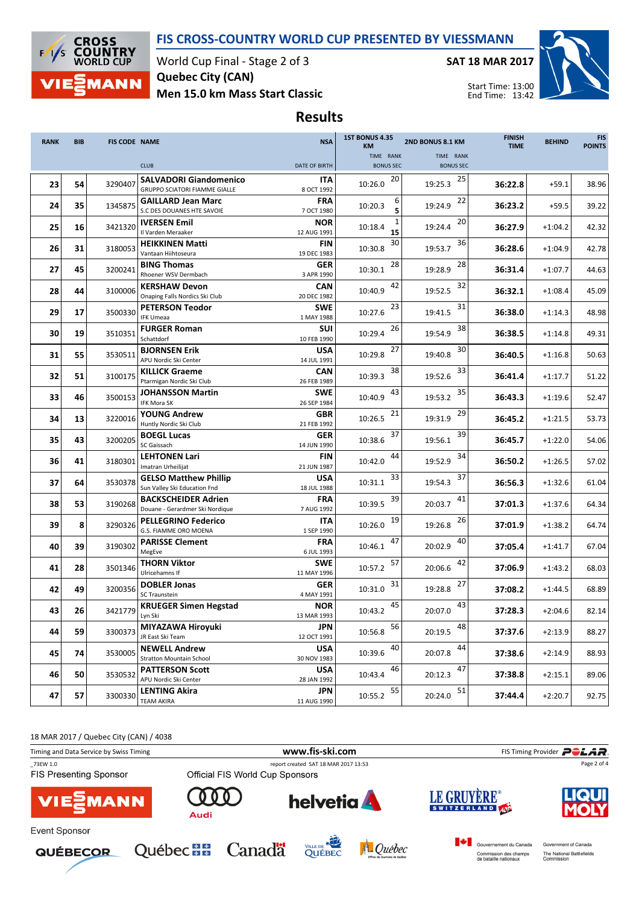## FIS CROSS-COUNTRY WORLD CUP PRESENTED BY VIESSMANN



World Cup Final - Stage 2 of 3 Men 15.0 km Mass Start Classic Quebec City (CAN)

SAT 18 MAR 2017



Start Time: 13:00 End Time: 13:42

Results

| <b>RANK</b> | <b>BIB</b> | <b>FIS CODE NAME</b> |                                                                       | <b>NSA</b>                | <b>1ST BONUS 4.35</b><br>2ND BONUS 8.1 KM<br><b>KM</b> |                  | <b>FINISH</b><br><b>TIME</b> | <b>BEHIND</b> | <b>FIS</b><br><b>POINTS</b> |
|-------------|------------|----------------------|-----------------------------------------------------------------------|---------------------------|--------------------------------------------------------|------------------|------------------------------|---------------|-----------------------------|
|             |            |                      |                                                                       |                           | TIME RANK                                              | TIME RANK        |                              |               |                             |
|             |            |                      | <b>CLUB</b>                                                           | <b>DATE OF BIRTH</b>      | <b>BONUS SEC</b>                                       | <b>BONUS SEC</b> |                              |               |                             |
| 23          | 54         | 3290407              | <b>SALVADORI Giandomenico</b><br><b>GRUPPO SCIATORI FIAMME GIALLE</b> | ITA<br>8 OCT 1992         | 20<br>10:26.0                                          | 25<br>19:25.3    | 36:22.8                      | $+59.1$       | 38.96                       |
| 24          | 35         | 1345875              | <b>GAILLARD Jean Marc</b>                                             | FRA                       | 6<br>10:20.3                                           | 22<br>19:24.9    | 36:23.2                      | $+59.5$       | 39.22                       |
|             |            |                      | S.C DES DOUANES HTE SAVOIE                                            | 7 OCT 1980                | 5                                                      |                  |                              |               |                             |
| 25          | 16         | 3421320              | <b>IVERSEN Emil</b><br>Il Varden Meraaker                             | <b>NOR</b><br>12 AUG 1991 | 10:18.4<br>15                                          | 20<br>19:24.4    | 36:27.9                      | $+1:04.2$     | 42.32                       |
| 26          | 31         | 3180053              | <b>HEIKKINEN Matti</b><br>Vantaan Hiihtoseura                         | FIN<br>19 DEC 1983        | 30<br>10:30.8                                          | 36<br>19:53.7    | 36:28.6                      | $+1:04.9$     | 42.78                       |
| 27          | 45         | 3200241              | <b>BING Thomas</b><br>Rhoener WSV Dermbach                            | <b>GER</b><br>3 APR 1990  | 28<br>10:30.1                                          | 28<br>19:28.9    | 36:31.4                      | $+1:07.7$     | 44.63                       |
| 28          | 44         | 3100006              | <b>KERSHAW Devon</b>                                                  | <b>CAN</b>                | 42<br>10:40.9                                          | 32<br>19:52.5    | 36:32.1                      | $+1:08.4$     | 45.09                       |
|             |            |                      | Onaping Falls Nordics Ski Club                                        | 20 DEC 1982               |                                                        |                  |                              |               |                             |
| 29          | 17         | 3500330              | <b>PETERSON Teodor</b><br><b>IFK Umeaa</b>                            | <b>SWE</b><br>1 MAY 1988  | 23<br>10:27.6                                          | 31<br>19:41.5    | 36:38.0                      | $+1:14.3$     | 48.98                       |
| 30          | 19         | 3510351              | <b>FURGER Roman</b><br>Schattdorf                                     | SUI<br>10 FEB 1990        | 26<br>10:29.4                                          | 38<br>19:54.9    | 36:38.5                      | $+1:14.8$     | 49.31                       |
| 31          | 55         | 3530511              | <b>BJORNSEN Erik</b><br>APU Nordic Ski Center                         | <b>USA</b><br>14 JUL 1991 | 27<br>10:29.8                                          | 30<br>19:40.8    | 36:40.5                      | $+1:16.8$     | 50.63                       |
| 32          | 51         | 3100175              | <b>KILLICK Graeme</b><br>Ptarmigan Nordic Ski Club                    | <b>CAN</b><br>26 FEB 1989 | 38<br>10:39.3                                          | 33<br>19:52.6    | 36:41.4                      | $+1:17.7$     | 51.22                       |
| 33          | 46         | 3500153              | <b>JOHANSSON Martin</b><br>IFK Mora SK                                | <b>SWE</b><br>26 SEP 1984 | 43<br>10:40.9                                          | 35<br>19:53.2    | 36:43.3                      | $+1:19.6$     | 52.47                       |
| 34          | 13         | 3220016              | <b>YOUNG Andrew</b><br>Huntly Nordic Ski Club                         | <b>GBR</b><br>21 FEB 1992 | 21<br>10:26.5                                          | 29<br>19:31.9    | 36:45.2                      | $+1:21.5$     | 53.73                       |
| 35          | 43         | 3200205              | <b>BOEGL Lucas</b><br>SC Gaissach                                     | <b>GER</b><br>14 JUN 1990 | 37<br>10:38.6                                          | 39<br>19:56.1    | 36:45.7                      | $+1:22.0$     | 54.06                       |
| 36          | 41         | 3180301              | <b>LEHTONEN Lari</b><br>Imatran Urheilijat                            | <b>FIN</b><br>21 JUN 1987 | 44<br>10:42.0                                          | 34<br>19:52.9    | 36:50.2                      | $+1:26.5$     | 57.02                       |
| 37          | 64         | 3530378              | <b>GELSO Matthew Phillip</b><br>Sun Valley Ski Education Fnd          | <b>USA</b><br>18 JUL 1988 | 33<br>10:31.1                                          | 37<br>19:54.3    | 36:56.3                      | $+1:32.6$     | 61.04                       |
| 38          | 53         | 3190268              | <b>BACKSCHEIDER Adrien</b><br>Douane - Gerardmer Ski Nordique         | <b>FRA</b><br>7 AUG 1992  | 39<br>10:39.5                                          | 41<br>20:03.7    | 37:01.3                      | $+1:37.6$     | 64.34                       |
| 39          | 8          | 3290326              | <b>PELLEGRINO Federico</b><br>G.S. FIAMME ORO MOENA                   | ITA<br>1 SEP 1990         | 19<br>10:26.0                                          | 26<br>19:26.8    | 37:01.9                      | $+1:38.2$     | 64.74                       |
| 40          | 39         | 3190302              | <b>PARISSE Clement</b><br>MegEve                                      | <b>FRA</b><br>6 JUL 1993  | 47<br>10:46.1                                          | 40<br>20:02.9    | 37:05.4                      | $+1:41.7$     | 67.04                       |
| 41          | 28         | 3501346              | <b>THORN Viktor</b><br>Ulricehamns If                                 | <b>SWE</b><br>11 MAY 1996 | 57<br>10:57.2                                          | 42<br>20:06.6    | 37:06.9                      | $+1:43.2$     | 68.03                       |
| 42          | 49         | 3200356              | <b>DOBLER Jonas</b><br><b>SC Traunstein</b>                           | <b>GER</b><br>4 MAY 1991  | 31<br>10:31.0                                          | 27<br>19:28.8    | 37:08.2                      | $+1:44.5$     | 68.89                       |
| 43          | 26         | 3421779              | <b>KRUEGER Simen Hegstad</b><br>Lyn Ski                               | <b>NOR</b><br>13 MAR 1993 | 45<br>10:43.2                                          | 43<br>20:07.0    | 37:28.3                      | $+2:04.6$     | 82.14                       |
| 44          | 59         | 3300373              | MIYAZAWA Hiroyuki<br>JR East Ski Team                                 | <b>JPN</b><br>12 OCT 1991 | 56<br>10:56.8                                          | 48<br>20:19.5    | 37:37.6                      | $+2:13.9$     | 88.27                       |
| 45          | 74         | 3530005              | <b>NEWELL Andrew</b><br><b>Stratton Mountain School</b>               | <b>USA</b><br>30 NOV 1983 | 40<br>10:39.6                                          | 44<br>20:07.8    | 37:38.6                      | $+2:14.9$     | 88.93                       |
| 46          | 50         | 3530532              | <b>PATTERSON Scott</b><br>APU Nordic Ski Center                       | <b>USA</b><br>28 JAN 1992 | 46<br>10:43.4                                          | 47<br>20:12.3    | 37:38.8                      | $+2:15.1$     | 89.06                       |
| 47          | 57         | 3300330              | LENTING Akira<br><b>TEAM AKIRA</b>                                    | JPN<br>11 AUG 1990        | 55<br>10:55.2                                          | 51<br>20:24.0    | 37:44.4                      | $+2:20.7$     | 92.75                       |

18 MAR 2017 / Quebec City (CAN) / 4038

Timing and Data Service by Swiss Timing **WWW.fis-Ski.com WWW.fis-Ski.com** FIS Timing Provider **PCLAR** \_73EW 1.0 report created SAT 18 MAR 2017 13:53 Page 2 of 4FIS Presenting Sponsor **LE GRUYÈRE helvetia** r **MANN** SWITZERLAND Audi Event Sponsor Government of Canada Québec **BB** Canadä









The National Battlefields<br>Commission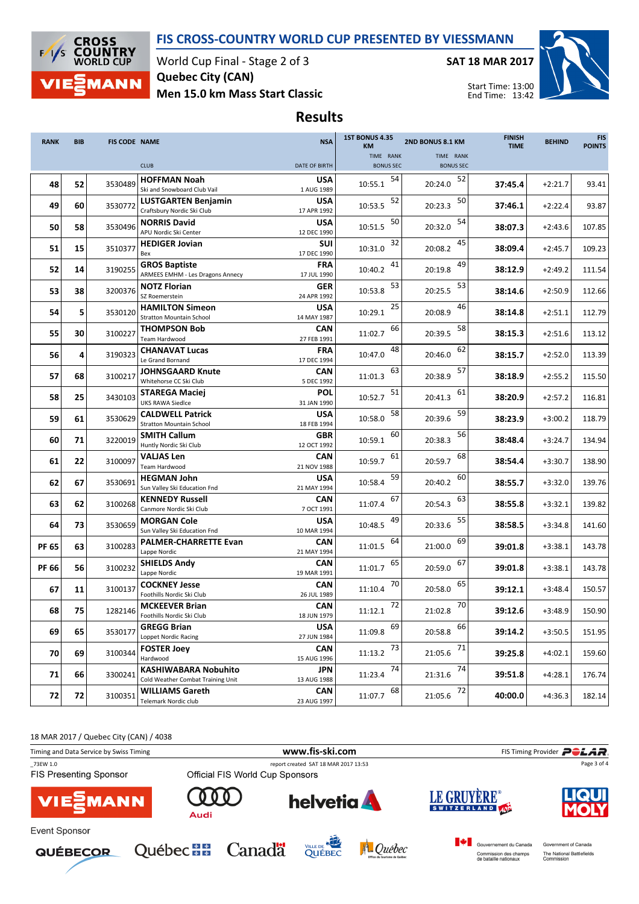## FIS CROSS-COUNTRY WORLD CUP PRESENTED BY VIESSMANN



World Cup Final - Stage 2 of 3 Men 15.0 km Mass Start Classic Quebec City (CAN)

SAT 18 MAR 2017



Start Time: 13:00 End Time: 13:42

## Results

| <b>RANK</b>  | <b>BIB</b> | <b>FIS CODE NAME</b> |                                                          | <b>NSA</b>                | <b>1ST BONUS 4.35</b><br><b>KM</b> | 2ND BONUS 8.1 KM | <b>FINISH</b><br><b>TIME</b> | <b>BEHIND</b> | <b>FIS</b><br><b>POINTS</b> |
|--------------|------------|----------------------|----------------------------------------------------------|---------------------------|------------------------------------|------------------|------------------------------|---------------|-----------------------------|
|              |            |                      |                                                          |                           | TIME RANK                          | TIME RANK        |                              |               |                             |
|              |            |                      | <b>CLUB</b>                                              | <b>DATE OF BIRTH</b>      | <b>BONUS SEC</b>                   | <b>BONUS SEC</b> |                              |               |                             |
| 48           | 52         | 3530489              | <b>HOFFMAN Noah</b>                                      | <b>USA</b>                | 54<br>10:55.1                      | 52<br>20:24.0    | 37:45.4                      | $+2:21.7$     | 93.41                       |
|              |            |                      | Ski and Snowboard Club Vail                              | 1 AUG 1989                |                                    |                  |                              |               |                             |
| 49           | 60         | 3530772              | <b>LUSTGARTEN Benjamin</b><br>Craftsbury Nordic Ski Club | <b>USA</b><br>17 APR 1992 | 52<br>10:53.5                      | 50<br>20:23.3    | 37:46.1                      | $+2:22.4$     | 93.87                       |
|              |            |                      | <b>NORRIS David</b>                                      | <b>USA</b>                | 50                                 | 54               |                              |               |                             |
| 50           | 58         | 3530496              | APU Nordic Ski Center                                    | 12 DEC 1990               | 10:51.5                            | 20:32.0          | 38:07.3                      | $+2:43.6$     | 107.85                      |
|              |            |                      | <b>HEDIGER Jovian</b>                                    | <b>SUI</b>                | 32                                 | 45               |                              |               |                             |
| 51           | 15         | 3510377              | Bex                                                      | 17 DEC 1990               | 10:31.0                            | 20:08.2          | 38:09.4                      | $+2:45.7$     | 109.23                      |
| 52           | 14         | 3190255              | <b>GROS Baptiste</b>                                     | <b>FRA</b>                | 41<br>10:40.2                      | 49<br>20:19.8    | 38:12.9                      | $+2:49.2$     | 111.54                      |
|              |            |                      | ARMEES EMHM - Les Dragons Annecy                         | 17 JUL 1990               |                                    |                  |                              |               |                             |
| 53           | 38         | 3200376              | <b>NOTZ Florian</b><br>SZ Roemerstein                    | GER                       | 53<br>10:53.8                      | 53<br>20:25.5    | 38:14.6                      | $+2:50.9$     | 112.66                      |
|              |            |                      | <b>HAMILTON Simeon</b>                                   | 24 APR 1992<br><b>USA</b> | 25                                 | 46               |                              |               |                             |
| 54           | 5          | 3530120              | <b>Stratton Mountain School</b>                          | 14 MAY 1987               | 10:29.1                            | 20:08.9          | 38:14.8                      | $+2:51.1$     | 112.79                      |
|              |            |                      | <b>THOMPSON Bob</b>                                      | <b>CAN</b>                | 66                                 | 58               |                              |               |                             |
| 55           | 30         | 3100227              | Team Hardwood                                            | 27 FEB 1991               | 11:02.7                            | 20:39.5          | 38:15.3                      | $+2:51.6$     | 113.12                      |
| 56           | 4          | 3190323              | <b>CHANAVAT Lucas</b>                                    | <b>FRA</b>                | 48<br>10:47.0                      | 62<br>20:46.0    | 38:15.7                      | $+2:52.0$     | 113.39                      |
|              |            |                      | Le Grand Bornand                                         | 17 DEC 1994               |                                    |                  |                              |               |                             |
| 57           | 68         | 3100217              | JOHNSGAARD Knute<br>Whitehorse CC Ski Club               | <b>CAN</b><br>5 DEC 1992  | 63<br>11:01.3                      | 57<br>20:38.9    | 38:18.9                      | $+2:55.2$     | 115.50                      |
|              |            |                      | <b>STAREGA Maciej</b>                                    | <b>POL</b>                | 51                                 | 61               |                              |               |                             |
| 58           | 25         | 3430103              | <b>UKS RAWA Siedlce</b>                                  | 31 JAN 1990               | 10:52.7                            | 20:41.3          | 38:20.9                      | $+2:57.2$     | 116.81                      |
|              |            |                      | <b>CALDWELL Patrick</b>                                  | <b>USA</b>                | 58                                 | 59               |                              |               |                             |
| 59           | 61         | 3530629              | <b>Stratton Mountain School</b>                          | 18 FEB 1994               | 10:58.0                            | 20:39.6          | 38:23.9                      | $+3:00.2$     | 118.79                      |
| 60           | 71         | 3220019              | <b>SMITH Callum</b>                                      | <b>GBR</b>                | 60<br>10:59.1                      | 56<br>20:38.3    | 38:48.4                      | $+3:24.7$     | 134.94                      |
|              |            |                      | Huntly Nordic Ski Club                                   | 12 OCT 1992               |                                    |                  |                              |               |                             |
| 61           | 22         | 3100097              | VALJAS Len<br>Team Hardwood                              | CAN<br>21 NOV 1988        | 61<br>10:59.7                      | 68<br>20:59.7    | 38:54.4                      | $+3:30.7$     | 138.90                      |
|              |            |                      | <b>HEGMAN John</b>                                       | <b>USA</b>                | 59                                 | 60               |                              |               |                             |
| 62           | 67         | 3530691              | Sun Valley Ski Education Fnd                             | 21 MAY 1994               | 10:58.4                            | 20:40.2          | 38:55.7                      | $+3:32.0$     | 139.76                      |
| 63           | 62         | 3100268              | <b>KENNEDY Russell</b>                                   | <b>CAN</b>                | 67<br>11:07.4                      | 63<br>20:54.3    | 38:55.8                      | $+3:32.1$     | 139.82                      |
|              |            |                      | Canmore Nordic Ski Club                                  | 7 OCT 1991                |                                    |                  |                              |               |                             |
| 64           | 73         | 3530659              | <b>MORGAN Cole</b>                                       | <b>USA</b>                | 49<br>10:48.5                      | 55<br>20:33.6    | 38:58.5                      | $+3:34.8$     | 141.60                      |
|              |            |                      | Sun Valley Ski Education Fnd<br>PALMER-CHARRETTE Evan    | 10 MAR 1994<br><b>CAN</b> | 64                                 | 69               |                              |               |                             |
| <b>PF 65</b> | 63         | 3100283              | Lappe Nordic                                             | 21 MAY 1994               | 11:01.5                            | 21:00.0          | 39:01.8                      | $+3:38.1$     | 143.78                      |
|              |            |                      | <b>SHIELDS Andy</b>                                      | <b>CAN</b>                | 65                                 | 67               |                              |               |                             |
| <b>PF 66</b> | 56         | 3100232              | Lappe Nordic                                             | 19 MAR 1991               | 11:01.7                            | 20:59.0          | 39:01.8                      | $+3:38.1$     | 143.78                      |
| 67           | 11         | 3100137              | <b>COCKNEY Jesse</b>                                     | <b>CAN</b>                | 70<br>11:10.4                      | 65<br>20:58.0    | 39:12.1                      | $+3:48.4$     | 150.57                      |
|              |            |                      | Foothills Nordic Ski Club                                | 26 JUL 1989               |                                    |                  |                              |               |                             |
| 68           | 75         | 1282146              | <b>MCKEEVER Brian</b>                                    | CAN                       | 72<br>11:12.1                      | 70<br>21:02.8    | 39:12.6                      | $+3:48.9$     | 150.90                      |
|              |            |                      | Foothills Nordic Ski Club                                | 18 JUN 1979<br><b>USA</b> | 69                                 | 66               |                              |               |                             |
| 69           | 65         | 3530177              | <b>GREGG Brian</b><br>Loppet Nordic Racing               | 27 JUN 1984               | 11:09.8                            | 20:58.8          | 39:14.2                      | $+3:50.5$     | 151.95                      |
|              |            |                      | <b>FOSTER Joey</b>                                       | <b>CAN</b>                | 73                                 | 71               |                              |               |                             |
| 70           | 69         | 3100344              | Hardwood                                                 | 15 AUG 1996               | 11:13.2                            | 21:05.6          | 39:25.8                      | $+4:02.1$     | 159.60                      |
| 71           | 66         | 3300241              | <b>KASHIWABARA Nobuhito</b>                              | <b>JPN</b>                | 74<br>11:23.4                      | 74<br>21:31.6    | 39:51.8                      | +4:28.1       | 176.74                      |
|              |            |                      | Cold Weather Combat Training Unit                        | 13 AUG 1988               |                                    |                  |                              |               |                             |
| 72           | 72         | 3100351              | WILLIAMS Gareth<br>Telemark Nordic club                  | <b>CAN</b><br>23 AUG 1997 | 68<br>11:07.7                      | 72<br>21:05.6    | 40:00.0                      | $+4:36.3$     | 182.14                      |

18 MAR 2017 / Quebec City (CAN) / 4038